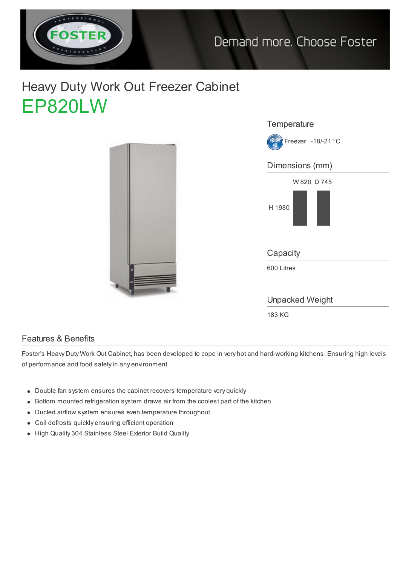

## Heavy Duty Work Out Freezer Cabinet EP820LW





## Features & Benefits

Foster's Heavy Duty Work Out Cabinet, has been developed to cope in very hot and hard-working kitchens. Ensuring high levels of performance and food safety in any environment

- Double fan system ensures the cabinet recovers temperature very quickly
- Bottom mounted refrigeration system draws air from the coolest part of the kitchen
- Ducted airflow system ensures even temperature throughout.
- Coil defrosts quickly ensuring efficient operation
- High Quality 304 Stainless Steel Exterior Build Quality